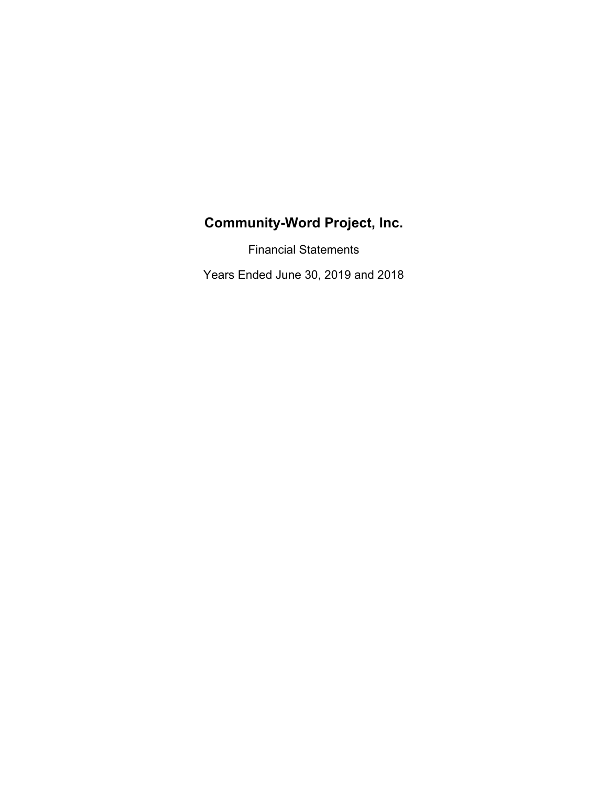Financial Statements

Years Ended June 30, 2019 and 2018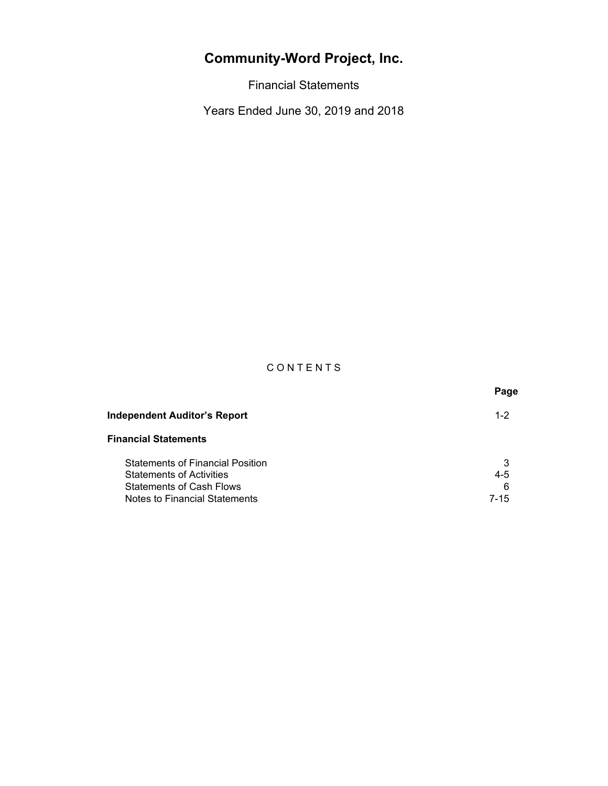Financial Statements

Years Ended June 30, 2019 and 2018

### C O N T E N T S

|                                                                                                                                                | Page                          |
|------------------------------------------------------------------------------------------------------------------------------------------------|-------------------------------|
| <b>Independent Auditor's Report</b>                                                                                                            | $1 - 2$                       |
| <b>Financial Statements</b>                                                                                                                    |                               |
| <b>Statements of Financial Position</b><br><b>Statements of Activities</b><br><b>Statements of Cash Flows</b><br>Notes to Financial Statements | 3<br>$4 - 5$<br>6<br>$7 - 15$ |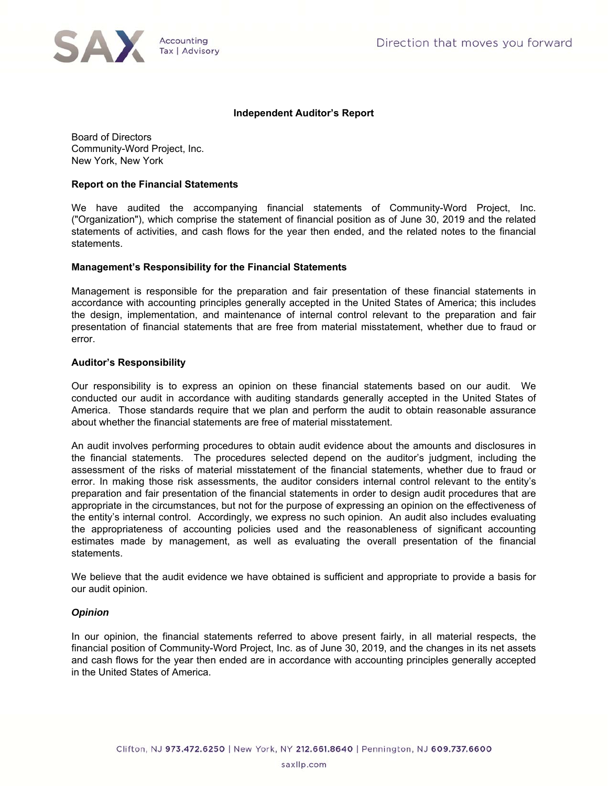

#### **Independent Auditor's Report**

Board of Directors Community-Word Project, Inc. New York, New York

#### **Report on the Financial Statements**

We have audited the accompanying financial statements of Community-Word Project, Inc. ("Organization"), which comprise the statement of financial position as of June 30, 2019 and the related statements of activities, and cash flows for the year then ended, and the related notes to the financial statements.

#### **Management's Responsibility for the Financial Statements**

Management is responsible for the preparation and fair presentation of these financial statements in accordance with accounting principles generally accepted in the United States of America; this includes the design, implementation, and maintenance of internal control relevant to the preparation and fair presentation of financial statements that are free from material misstatement, whether due to fraud or error.

#### **Auditor's Responsibility**

Our responsibility is to express an opinion on these financial statements based on our audit. We conducted our audit in accordance with auditing standards generally accepted in the United States of America. Those standards require that we plan and perform the audit to obtain reasonable assurance about whether the financial statements are free of material misstatement.

An audit involves performing procedures to obtain audit evidence about the amounts and disclosures in the financial statements. The procedures selected depend on the auditor's judgment, including the assessment of the risks of material misstatement of the financial statements, whether due to fraud or error. In making those risk assessments, the auditor considers internal control relevant to the entity's preparation and fair presentation of the financial statements in order to design audit procedures that are appropriate in the circumstances, but not for the purpose of expressing an opinion on the effectiveness of the entity's internal control. Accordingly, we express no such opinion. An audit also includes evaluating the appropriateness of accounting policies used and the reasonableness of significant accounting estimates made by management, as well as evaluating the overall presentation of the financial statements.

We believe that the audit evidence we have obtained is sufficient and appropriate to provide a basis for our audit opinion.

#### *Opinion*

In our opinion, the financial statements referred to above present fairly, in all material respects, the financial position of Community-Word Project, Inc. as of June 30, 2019, and the changes in its net assets and cash flows for the year then ended are in accordance with accounting principles generally accepted in the United States of America.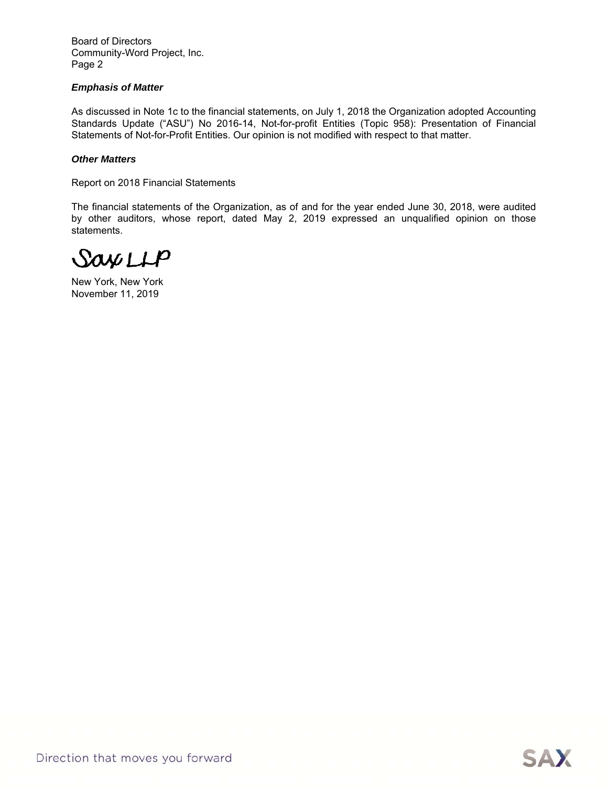Board of Directors Community-Word Project, Inc. Page 2

#### *Emphasis of Matter*

As discussed in Note 1c to the financial statements, on July 1, 2018 the Organization adopted Accounting Standards Update ("ASU") No 2016-14, Not-for-profit Entities (Topic 958): Presentation of Financial Statements of Not-for-Profit Entities. Our opinion is not modified with respect to that matter.

#### *Other Matters*

Report on 2018 Financial Statements

The financial statements of the Organization, as of and for the year ended June 30, 2018, were audited by other auditors, whose report, dated May 2, 2019 expressed an unqualified opinion on those statements.

SaveLLP

New York, New York November 11, 2019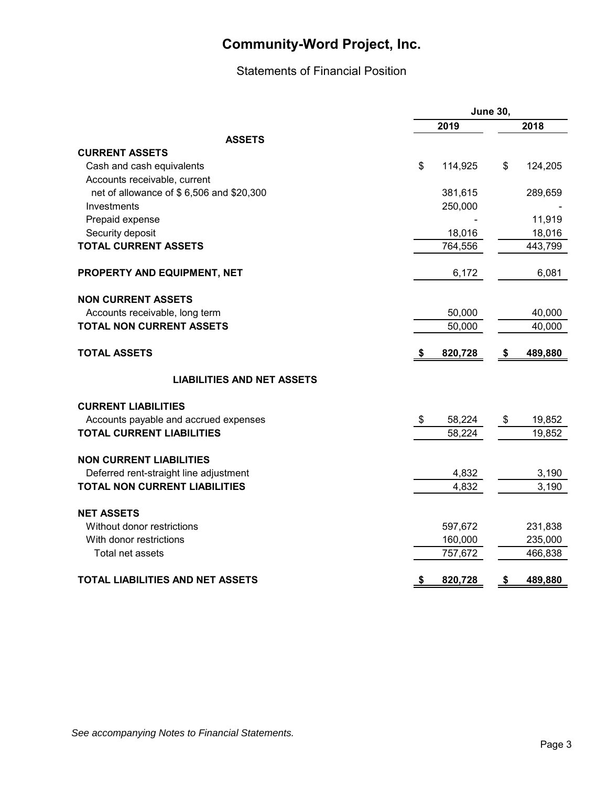Statements of Financial Position

|                                          | <b>June 30,</b> |         |    |         |
|------------------------------------------|-----------------|---------|----|---------|
|                                          |                 | 2019    |    | 2018    |
| <b>ASSETS</b>                            |                 |         |    |         |
| <b>CURRENT ASSETS</b>                    |                 |         |    |         |
| Cash and cash equivalents                | \$              | 114,925 | \$ | 124,205 |
| Accounts receivable, current             |                 |         |    |         |
| net of allowance of \$6,506 and \$20,300 |                 | 381,615 |    | 289,659 |
| Investments                              |                 | 250,000 |    |         |
| Prepaid expense                          |                 |         |    | 11,919  |
| Security deposit                         |                 | 18,016  |    | 18,016  |
| <b>TOTAL CURRENT ASSETS</b>              |                 | 764,556 |    | 443,799 |
| PROPERTY AND EQUIPMENT, NET              |                 | 6,172   |    | 6,081   |
| <b>NON CURRENT ASSETS</b>                |                 |         |    |         |
| Accounts receivable, long term           |                 | 50,000  |    | 40,000  |
| <b>TOTAL NON CURRENT ASSETS</b>          |                 | 50,000  |    | 40,000  |
| <b>TOTAL ASSETS</b>                      |                 | 820,728 | S  | 489,880 |
| <b>LIABILITIES AND NET ASSETS</b>        |                 |         |    |         |
| <b>CURRENT LIABILITIES</b>               |                 |         |    |         |
| Accounts payable and accrued expenses    | \$              | 58,224  | \$ | 19,852  |
| <b>TOTAL CURRENT LIABILITIES</b>         |                 | 58,224  |    | 19,852  |
| <b>NON CURRENT LIABILITIES</b>           |                 |         |    |         |
| Deferred rent-straight line adjustment   |                 | 4,832   |    | 3,190   |
| <b>TOTAL NON CURRENT LIABILITIES</b>     |                 | 4,832   |    | 3,190   |
| <b>NET ASSETS</b>                        |                 |         |    |         |
| Without donor restrictions               |                 | 597,672 |    | 231,838 |
| With donor restrictions                  |                 | 160,000 |    | 235,000 |
| Total net assets                         |                 | 757,672 |    | 466,838 |
| <b>TOTAL LIABILITIES AND NET ASSETS</b>  | \$              | 820,728 | \$ | 489,880 |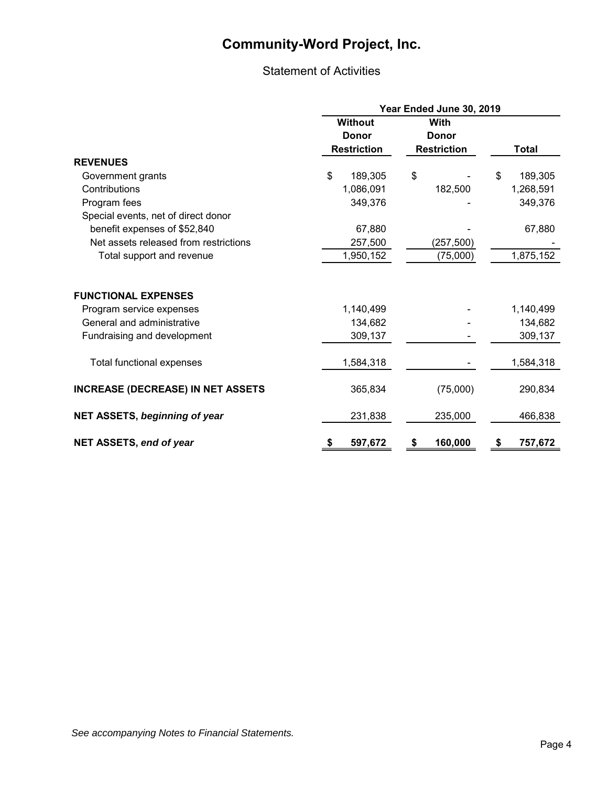Statement of Activities

|                                          |                                | Year Ended June 30, 2019 |               |  |  |
|------------------------------------------|--------------------------------|--------------------------|---------------|--|--|
|                                          | <b>Without</b><br><b>Donor</b> | With<br><b>Donor</b>     |               |  |  |
|                                          | <b>Restriction</b>             | <b>Restriction</b>       | <b>Total</b>  |  |  |
| <b>REVENUES</b>                          |                                |                          |               |  |  |
| Government grants                        | \$<br>189,305                  | \$                       | \$<br>189,305 |  |  |
| Contributions                            | 1,086,091                      | 182,500                  | 1,268,591     |  |  |
| Program fees                             | 349,376                        |                          | 349,376       |  |  |
| Special events, net of direct donor      |                                |                          |               |  |  |
| benefit expenses of \$52,840             | 67,880                         |                          | 67,880        |  |  |
| Net assets released from restrictions    | 257,500                        | (257, 500)               |               |  |  |
| Total support and revenue                | 1,950,152                      | (75,000)                 | 1,875,152     |  |  |
| <b>FUNCTIONAL EXPENSES</b>               |                                |                          |               |  |  |
| Program service expenses                 | 1,140,499                      |                          | 1,140,499     |  |  |
| General and administrative               | 134,682                        |                          | 134,682       |  |  |
| Fundraising and development              | 309,137                        |                          | 309,137       |  |  |
| Total functional expenses                | 1,584,318                      |                          | 1,584,318     |  |  |
| <b>INCREASE (DECREASE) IN NET ASSETS</b> | 365,834                        | (75,000)                 | 290,834       |  |  |
| NET ASSETS, beginning of year            | 231,838                        | 235,000                  | 466,838       |  |  |
| NET ASSETS, end of year                  | 597,672<br>\$                  | 160,000<br>\$            | 757,672<br>\$ |  |  |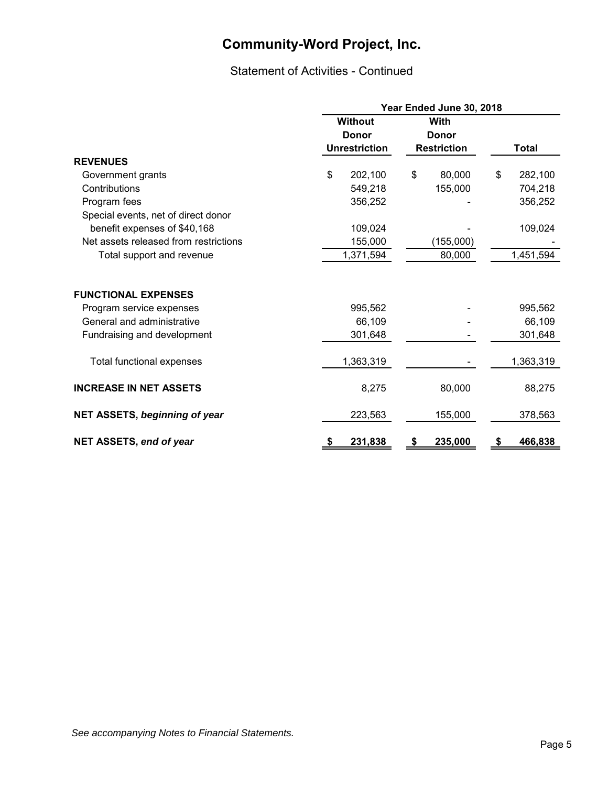Statement of Activities - Continued

|                                       | Year Ended June 30, 2018 |                    |               |  |
|---------------------------------------|--------------------------|--------------------|---------------|--|
|                                       | <b>Without</b>           | With               |               |  |
|                                       | <b>Donor</b>             | <b>Donor</b>       |               |  |
|                                       | <b>Unrestriction</b>     | <b>Restriction</b> | <b>Total</b>  |  |
| <b>REVENUES</b>                       |                          |                    |               |  |
| Government grants                     | \$<br>202,100            | \$<br>80,000       | \$<br>282,100 |  |
| Contributions                         | 549,218                  | 155,000            | 704,218       |  |
| Program fees                          | 356,252                  |                    | 356,252       |  |
| Special events, net of direct donor   |                          |                    |               |  |
| benefit expenses of \$40,168          | 109,024                  |                    | 109,024       |  |
| Net assets released from restrictions | 155,000                  | (155,000)          |               |  |
| Total support and revenue             | 1,371,594                | 80,000             | 1,451,594     |  |
| <b>FUNCTIONAL EXPENSES</b>            |                          |                    |               |  |
| Program service expenses              | 995,562                  |                    | 995,562       |  |
| General and administrative            | 66,109                   |                    | 66,109        |  |
| Fundraising and development           | 301,648                  |                    | 301,648       |  |
|                                       |                          |                    |               |  |
| Total functional expenses             | 1,363,319                |                    | 1,363,319     |  |
| <b>INCREASE IN NET ASSETS</b>         | 8,275                    | 80,000             | 88,275        |  |
| NET ASSETS, beginning of year         | 223,563                  | 155,000            | 378,563       |  |
| NET ASSETS, end of year               | 231,838<br>\$            | 235,000<br>\$      | 466,838<br>S  |  |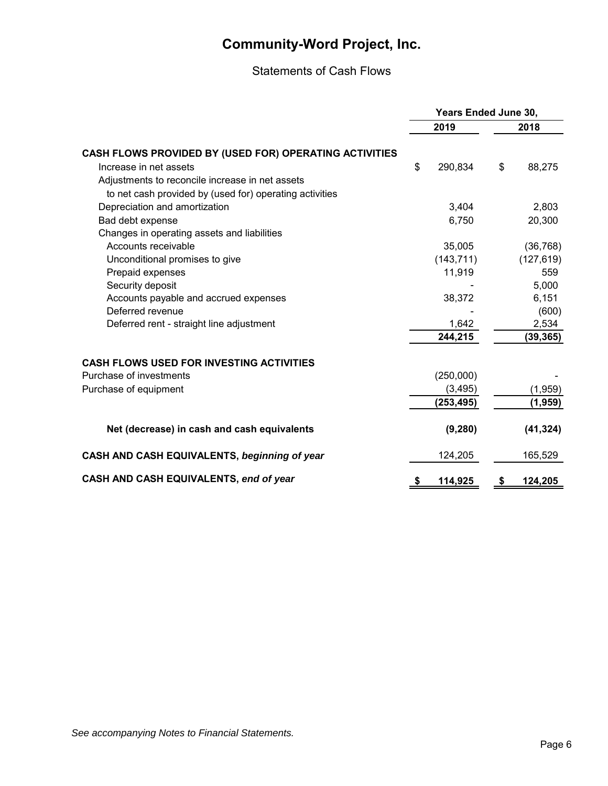Statements of Cash Flows

|                                                                                                            | Years Ended June 30, |            |    |            |
|------------------------------------------------------------------------------------------------------------|----------------------|------------|----|------------|
|                                                                                                            |                      | 2019       |    | 2018       |
| CASH FLOWS PROVIDED BY (USED FOR) OPERATING ACTIVITIES                                                     |                      |            |    |            |
| Increase in net assets                                                                                     | \$                   | 290,834    | \$ | 88,275     |
| Adjustments to reconcile increase in net assets<br>to net cash provided by (used for) operating activities |                      |            |    |            |
| Depreciation and amortization                                                                              |                      | 3,404      |    | 2,803      |
| Bad debt expense                                                                                           |                      | 6,750      |    | 20,300     |
| Changes in operating assets and liabilities                                                                |                      |            |    |            |
| Accounts receivable                                                                                        |                      | 35,005     |    | (36, 768)  |
| Unconditional promises to give                                                                             |                      | (143, 711) |    | (127, 619) |
| Prepaid expenses                                                                                           |                      | 11,919     |    | 559        |
| Security deposit                                                                                           |                      |            |    | 5,000      |
| Accounts payable and accrued expenses                                                                      |                      | 38,372     |    | 6,151      |
| Deferred revenue                                                                                           |                      |            |    | (600)      |
| Deferred rent - straight line adjustment                                                                   |                      | 1,642      |    | 2,534      |
|                                                                                                            |                      | 244,215    |    | (39, 365)  |
| <b>CASH FLOWS USED FOR INVESTING ACTIVITIES</b>                                                            |                      |            |    |            |
| Purchase of investments                                                                                    |                      | (250,000)  |    |            |
| Purchase of equipment                                                                                      |                      | (3, 495)   |    | (1,959)    |
|                                                                                                            |                      | (253, 495) |    | (1, 959)   |
| Net (decrease) in cash and cash equivalents                                                                |                      | (9, 280)   |    | (41, 324)  |
| CASH AND CASH EQUIVALENTS, beginning of year                                                               |                      | 124,205    |    | 165,529    |
| CASH AND CASH EQUIVALENTS, end of year                                                                     | \$                   | 114,925    | S  | 124,205    |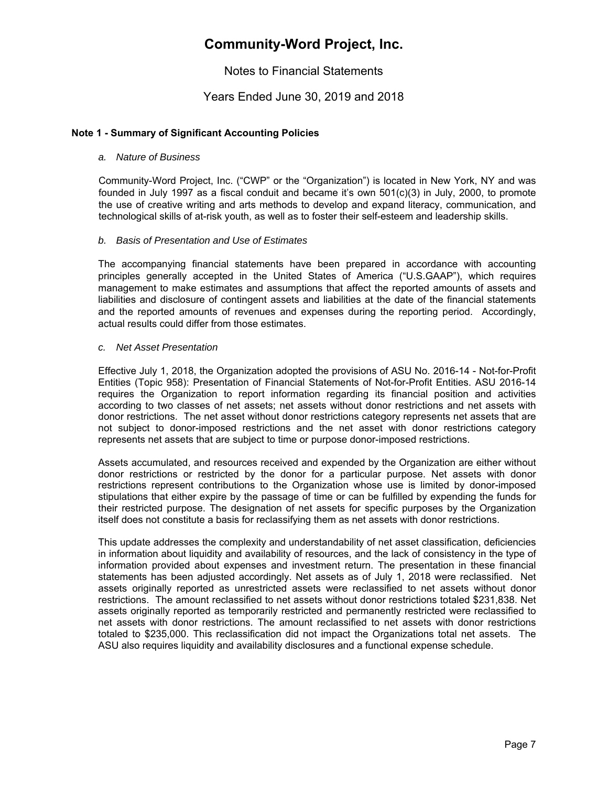Notes to Financial Statements

### Years Ended June 30, 2019 and 2018

#### **Note 1 - Summary of Significant Accounting Policies**

#### *a. Nature of Business*

Community-Word Project, Inc. ("CWP" or the "Organization") is located in New York, NY and was founded in July 1997 as a fiscal conduit and became it's own  $501(c)(3)$  in July, 2000, to promote the use of creative writing and arts methods to develop and expand literacy, communication, and technological skills of at-risk youth, as well as to foster their self-esteem and leadership skills.

#### *b. Basis of Presentation and Use of Estimates*

The accompanying financial statements have been prepared in accordance with accounting principles generally accepted in the United States of America ("U.S.GAAP"), which requires management to make estimates and assumptions that affect the reported amounts of assets and liabilities and disclosure of contingent assets and liabilities at the date of the financial statements and the reported amounts of revenues and expenses during the reporting period. Accordingly, actual results could differ from those estimates.

#### *c. Net Asset Presentation*

Effective July 1, 2018, the Organization adopted the provisions of ASU No. 2016-14 - Not-for-Profit Entities (Topic 958): Presentation of Financial Statements of Not-for-Profit Entities. ASU 2016-14 requires the Organization to report information regarding its financial position and activities according to two classes of net assets; net assets without donor restrictions and net assets with donor restrictions. The net asset without donor restrictions category represents net assets that are not subject to donor-imposed restrictions and the net asset with donor restrictions category represents net assets that are subject to time or purpose donor-imposed restrictions.

Assets accumulated, and resources received and expended by the Organization are either without donor restrictions or restricted by the donor for a particular purpose. Net assets with donor restrictions represent contributions to the Organization whose use is limited by donor-imposed stipulations that either expire by the passage of time or can be fulfilled by expending the funds for their restricted purpose. The designation of net assets for specific purposes by the Organization itself does not constitute a basis for reclassifying them as net assets with donor restrictions.

This update addresses the complexity and understandability of net asset classification, deficiencies in information about liquidity and availability of resources, and the lack of consistency in the type of information provided about expenses and investment return. The presentation in these financial statements has been adjusted accordingly. Net assets as of July 1, 2018 were reclassified. Net assets originally reported as unrestricted assets were reclassified to net assets without donor restrictions. The amount reclassified to net assets without donor restrictions totaled \$231,838. Net assets originally reported as temporarily restricted and permanently restricted were reclassified to net assets with donor restrictions. The amount reclassified to net assets with donor restrictions totaled to \$235,000. This reclassification did not impact the Organizations total net assets. The ASU also requires liquidity and availability disclosures and a functional expense schedule.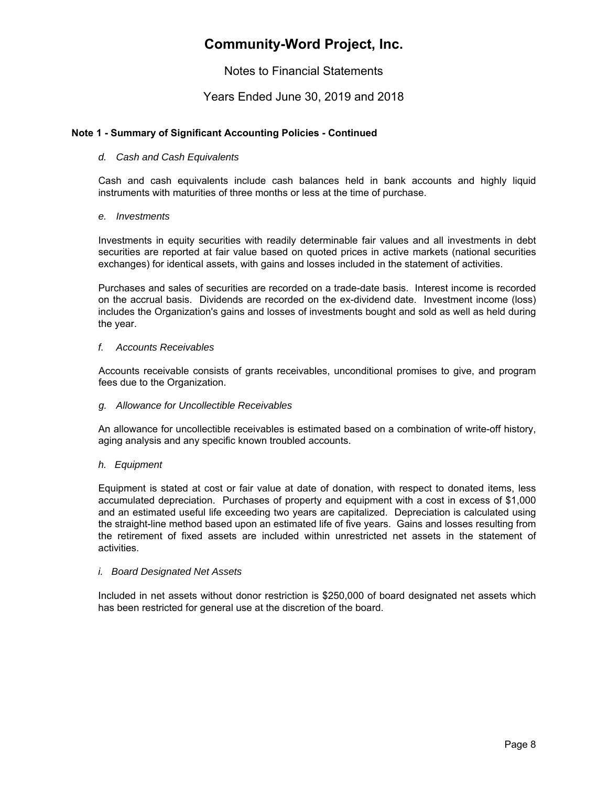Notes to Financial Statements

### Years Ended June 30, 2019 and 2018

#### **Note 1 - Summary of Significant Accounting Policies - Continued**

#### *d. Cash and Cash Equivalents*

Cash and cash equivalents include cash balances held in bank accounts and highly liquid instruments with maturities of three months or less at the time of purchase.

#### *e. Investments*

Investments in equity securities with readily determinable fair values and all investments in debt securities are reported at fair value based on quoted prices in active markets (national securities exchanges) for identical assets, with gains and losses included in the statement of activities.

Purchases and sales of securities are recorded on a trade-date basis. Interest income is recorded on the accrual basis. Dividends are recorded on the ex-dividend date. Investment income (loss) includes the Organization's gains and losses of investments bought and sold as well as held during the year.

#### *f. Accounts Receivables*

Accounts receivable consists of grants receivables, unconditional promises to give, and program fees due to the Organization.

#### *g. Allowance for Uncollectible Receivables*

An allowance for uncollectible receivables is estimated based on a combination of write-off history, aging analysis and any specific known troubled accounts.

#### *h. Equipment*

Equipment is stated at cost or fair value at date of donation, with respect to donated items, less accumulated depreciation. Purchases of property and equipment with a cost in excess of \$1,000 and an estimated useful life exceeding two years are capitalized. Depreciation is calculated using the straight-line method based upon an estimated life of five years. Gains and losses resulting from the retirement of fixed assets are included within unrestricted net assets in the statement of activities.

#### *i. Board Designated Net Assets*

Included in net assets without donor restriction is \$250,000 of board designated net assets which has been restricted for general use at the discretion of the board.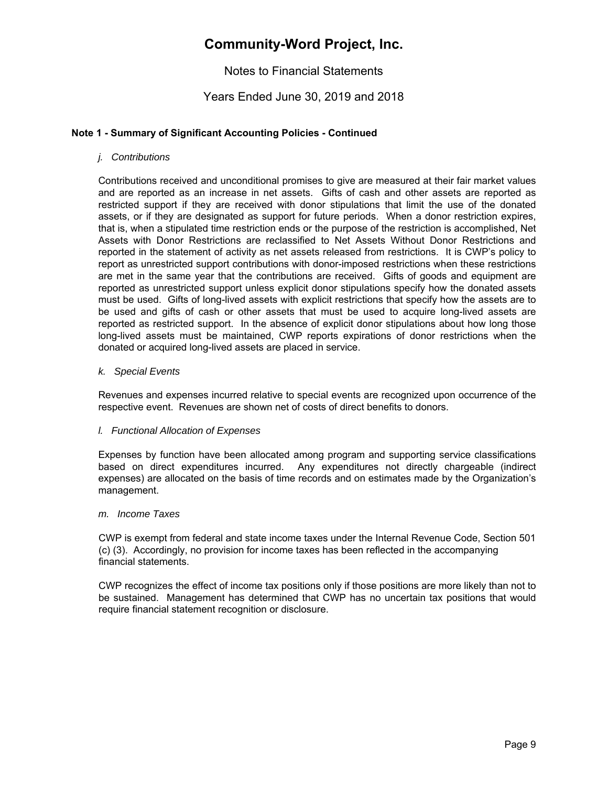Notes to Financial Statements

Years Ended June 30, 2019 and 2018

#### **Note 1 - Summary of Significant Accounting Policies - Continued**

#### *j. Contributions*

Contributions received and unconditional promises to give are measured at their fair market values and are reported as an increase in net assets. Gifts of cash and other assets are reported as restricted support if they are received with donor stipulations that limit the use of the donated assets, or if they are designated as support for future periods. When a donor restriction expires, that is, when a stipulated time restriction ends or the purpose of the restriction is accomplished, Net Assets with Donor Restrictions are reclassified to Net Assets Without Donor Restrictions and reported in the statement of activity as net assets released from restrictions. It is CWP's policy to report as unrestricted support contributions with donor-imposed restrictions when these restrictions are met in the same year that the contributions are received. Gifts of goods and equipment are reported as unrestricted support unless explicit donor stipulations specify how the donated assets must be used. Gifts of long-lived assets with explicit restrictions that specify how the assets are to be used and gifts of cash or other assets that must be used to acquire long-lived assets are reported as restricted support. In the absence of explicit donor stipulations about how long those long-lived assets must be maintained, CWP reports expirations of donor restrictions when the donated or acquired long-lived assets are placed in service.

#### *k. Special Events*

Revenues and expenses incurred relative to special events are recognized upon occurrence of the respective event. Revenues are shown net of costs of direct benefits to donors.

#### *l. Functional Allocation of Expenses*

Expenses by function have been allocated among program and supporting service classifications based on direct expenditures incurred. Any expenditures not directly chargeable (indirect expenses) are allocated on the basis of time records and on estimates made by the Organization's management.

#### *m. Income Taxes*

CWP is exempt from federal and state income taxes under the Internal Revenue Code, Section 501 (c) (3). Accordingly, no provision for income taxes has been reflected in the accompanying financial statements.

CWP recognizes the effect of income tax positions only if those positions are more likely than not to be sustained. Management has determined that CWP has no uncertain tax positions that would require financial statement recognition or disclosure.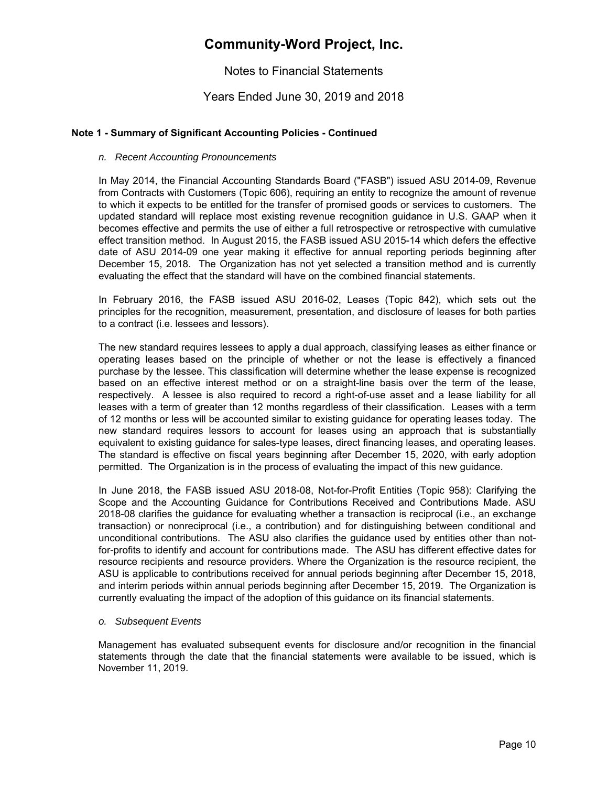Notes to Financial Statements

Years Ended June 30, 2019 and 2018

#### **Note 1 - Summary of Significant Accounting Policies - Continued**

#### *n. Recent Accounting Pronouncements*

In May 2014, the Financial Accounting Standards Board ("FASB") issued ASU 2014-09, Revenue from Contracts with Customers (Topic 606), requiring an entity to recognize the amount of revenue to which it expects to be entitled for the transfer of promised goods or services to customers. The updated standard will replace most existing revenue recognition guidance in U.S. GAAP when it becomes effective and permits the use of either a full retrospective or retrospective with cumulative effect transition method. In August 2015, the FASB issued ASU 2015-14 which defers the effective date of ASU 2014-09 one year making it effective for annual reporting periods beginning after December 15, 2018. The Organization has not yet selected a transition method and is currently evaluating the effect that the standard will have on the combined financial statements.

In February 2016, the FASB issued ASU 2016-02, Leases (Topic 842), which sets out the principles for the recognition, measurement, presentation, and disclosure of leases for both parties to a contract (i.e. lessees and lessors).

The new standard requires lessees to apply a dual approach, classifying leases as either finance or operating leases based on the principle of whether or not the lease is effectively a financed purchase by the lessee. This classification will determine whether the lease expense is recognized based on an effective interest method or on a straight-line basis over the term of the lease, respectively. A lessee is also required to record a right-of-use asset and a lease liability for all leases with a term of greater than 12 months regardless of their classification. Leases with a term of 12 months or less will be accounted similar to existing guidance for operating leases today. The new standard requires lessors to account for leases using an approach that is substantially equivalent to existing guidance for sales-type leases, direct financing leases, and operating leases. The standard is effective on fiscal years beginning after December 15, 2020, with early adoption permitted. The Organization is in the process of evaluating the impact of this new guidance.

In June 2018, the FASB issued ASU 2018-08, Not-for-Profit Entities (Topic 958): Clarifying the Scope and the Accounting Guidance for Contributions Received and Contributions Made. ASU 2018-08 clarifies the guidance for evaluating whether a transaction is reciprocal (i.e., an exchange transaction) or nonreciprocal (i.e., a contribution) and for distinguishing between conditional and unconditional contributions. The ASU also clarifies the guidance used by entities other than notfor-profits to identify and account for contributions made. The ASU has different effective dates for resource recipients and resource providers. Where the Organization is the resource recipient, the ASU is applicable to contributions received for annual periods beginning after December 15, 2018, and interim periods within annual periods beginning after December 15, 2019. The Organization is currently evaluating the impact of the adoption of this guidance on its financial statements.

#### *o. Subsequent Events*

Management has evaluated subsequent events for disclosure and/or recognition in the financial statements through the date that the financial statements were available to be issued, which is November 11, 2019.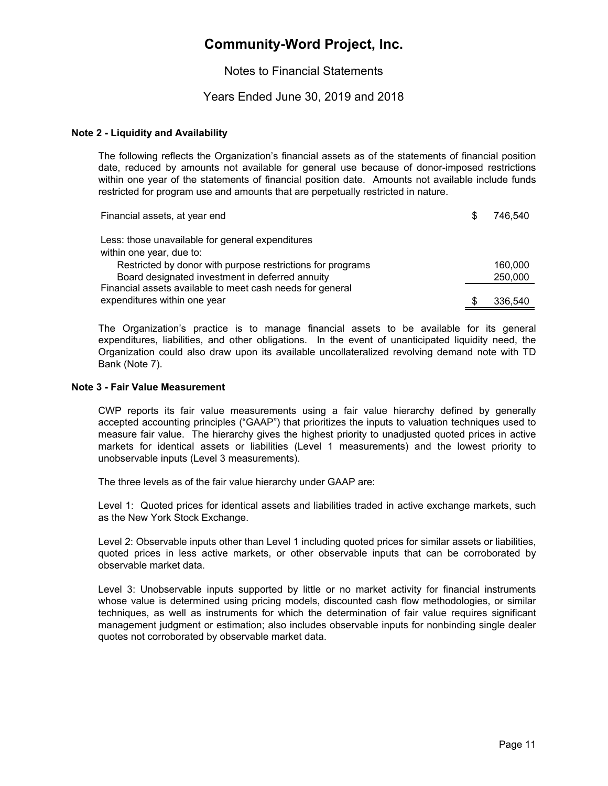Notes to Financial Statements

#### Years Ended June 30, 2019 and 2018

#### **Note 2 - Liquidity and Availability**

The following reflects the Organization's financial assets as of the statements of financial position date, reduced by amounts not available for general use because of donor-imposed restrictions within one year of the statements of financial position date. Amounts not available include funds restricted for program use and amounts that are perpetually restricted in nature.

| Financial assets, at year end                              | S | 746.540 |
|------------------------------------------------------------|---|---------|
| Less: those unavailable for general expenditures           |   |         |
| within one year, due to:                                   |   |         |
| Restricted by donor with purpose restrictions for programs |   | 160,000 |
| Board designated investment in deferred annuity            |   | 250,000 |
| Financial assets available to meet cash needs for general  |   |         |
| expenditures within one year                               | S | 336.540 |

The Organization's practice is to manage financial assets to be available for its general expenditures, liabilities, and other obligations. In the event of unanticipated liquidity need, the Organization could also draw upon its available uncollateralized revolving demand note with TD Bank (Note 7).

#### **Note 3 - Fair Value Measurement**

CWP reports its fair value measurements using a fair value hierarchy defined by generally accepted accounting principles ("GAAP") that prioritizes the inputs to valuation techniques used to measure fair value. The hierarchy gives the highest priority to unadjusted quoted prices in active markets for identical assets or liabilities (Level 1 measurements) and the lowest priority to unobservable inputs (Level 3 measurements).

The three levels as of the fair value hierarchy under GAAP are:

Level 1: Quoted prices for identical assets and liabilities traded in active exchange markets, such as the New York Stock Exchange.

Level 2: Observable inputs other than Level 1 including quoted prices for similar assets or liabilities, quoted prices in less active markets, or other observable inputs that can be corroborated by observable market data.

Level 3: Unobservable inputs supported by little or no market activity for financial instruments whose value is determined using pricing models, discounted cash flow methodologies, or similar techniques, as well as instruments for which the determination of fair value requires significant management judgment or estimation; also includes observable inputs for nonbinding single dealer quotes not corroborated by observable market data.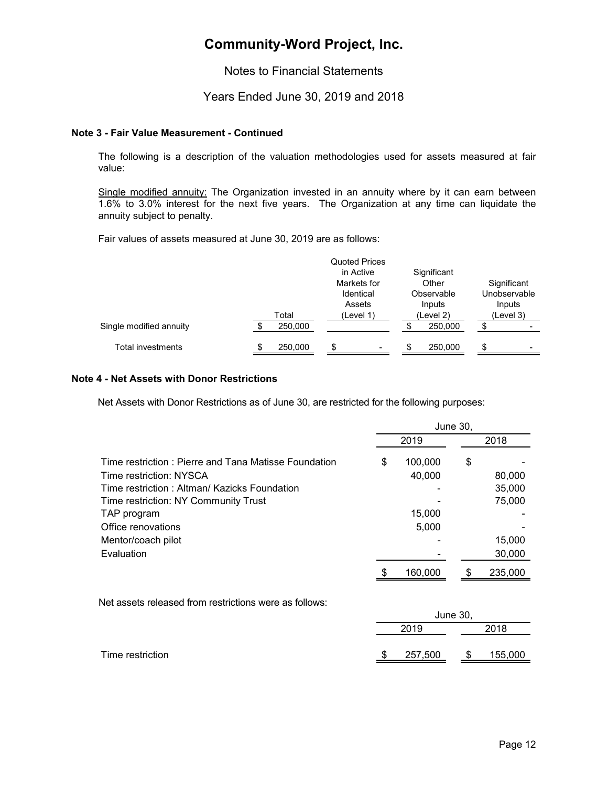Notes to Financial Statements

#### Years Ended June 30, 2019 and 2018

#### **Note 3 - Fair Value Measurement - Continued**

The following is a description of the valuation methodologies used for assets measured at fair value:

Single modified annuity: The Organization invested in an annuity where by it can earn between 1.6% to 3.0% interest for the next five years. The Organization at any time can liquidate the annuity subject to penalty.

Fair values of assets measured at June 30, 2019 are as follows:

|                          | Total   | <b>Quoted Prices</b><br>in Active<br>Markets for<br><b>Identical</b><br>Assets<br>(Level 1) | Significant<br>Other<br>Observable<br>Inputs<br>(Level 2) | Significant<br>Unobservable<br>Inputs<br>(Level 3) |
|--------------------------|---------|---------------------------------------------------------------------------------------------|-----------------------------------------------------------|----------------------------------------------------|
| Single modified annuity  | 250,000 |                                                                                             | 250,000                                                   |                                                    |
| <b>Total investments</b> | 250,000 | S.<br>$\overline{\phantom{0}}$                                                              | 250,000<br>£.                                             | -                                                  |

#### **Note 4 - Net Assets with Donor Restrictions**

Net Assets with Donor Restrictions as of June 30, are restricted for the following purposes:

|                                                      | June 30, |         |    |         |  |
|------------------------------------------------------|----------|---------|----|---------|--|
|                                                      | 2019     |         |    | 2018    |  |
| Time restriction: Pierre and Tana Matisse Foundation | S        | 100,000 | \$ |         |  |
| Time restriction: NYSCA                              |          | 40,000  |    | 80,000  |  |
| Time restriction: Altman/ Kazicks Foundation         |          |         |    | 35,000  |  |
| Time restriction: NY Community Trust                 |          |         |    | 75,000  |  |
| TAP program                                          |          | 15,000  |    |         |  |
| Office renovations                                   |          | 5,000   |    |         |  |
| Mentor/coach pilot                                   |          |         |    | 15,000  |  |
| Evaluation                                           |          |         |    | 30,000  |  |
|                                                      |          | 160,000 |    | 235,000 |  |

Net assets released from restrictions were as follows:

|                  | June 30,      |   |         |  |
|------------------|---------------|---|---------|--|
|                  | 2019          |   | 2018    |  |
| Time restriction | \$<br>257,500 | Œ | 155,000 |  |
|                  |               |   |         |  |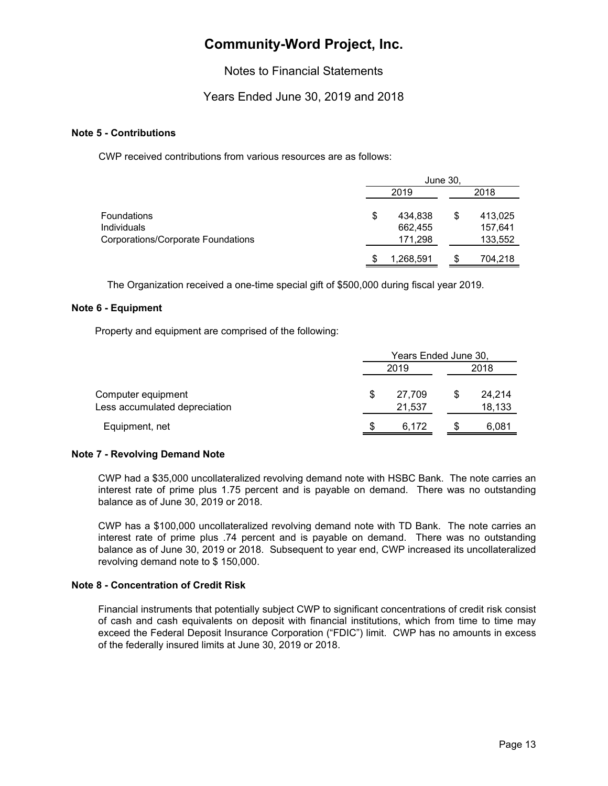Notes to Financial Statements

### Years Ended June 30, 2019 and 2018

#### **Note 5 - Contributions**

CWP received contributions from various resources are as follows:

|                                                          |    | June 30,           |   |                    |  |
|----------------------------------------------------------|----|--------------------|---|--------------------|--|
|                                                          |    | 2019               |   | 2018               |  |
| Foundations                                              | \$ | 434,838            | S | 413,025            |  |
| <b>Individuals</b><br>Corporations/Corporate Foundations |    | 662,455<br>171,298 |   | 157,641<br>133,552 |  |
|                                                          | S  | 1,268,591          |   | 704,218            |  |

The Organization received a one-time special gift of \$500,000 during fiscal year 2019.

#### **Note 6 - Equipment**

Property and equipment are comprised of the following:

|                               |   | Years Ended June 30, |   |        |  |
|-------------------------------|---|----------------------|---|--------|--|
|                               |   | 2019                 |   | 2018   |  |
| Computer equipment            | S | 27.709               | S | 24.214 |  |
| Less accumulated depreciation |   | 21,537               |   | 18,133 |  |
| Equipment, net                | S | 6.172                | S | 6,081  |  |

#### **Note 7 - Revolving Demand Note**

CWP had a \$35,000 uncollateralized revolving demand note with HSBC Bank. The note carries an interest rate of prime plus 1.75 percent and is payable on demand. There was no outstanding balance as of June 30, 2019 or 2018.

CWP has a \$100,000 uncollateralized revolving demand note with TD Bank. The note carries an interest rate of prime plus .74 percent and is payable on demand. There was no outstanding balance as of June 30, 2019 or 2018. Subsequent to year end, CWP increased its uncollateralized revolving demand note to \$ 150,000.

#### **Note 8 - Concentration of Credit Risk**

Financial instruments that potentially subject CWP to significant concentrations of credit risk consist of cash and cash equivalents on deposit with financial institutions, which from time to time may exceed the Federal Deposit Insurance Corporation ("FDIC") limit. CWP has no amounts in excess of the federally insured limits at June 30, 2019 or 2018.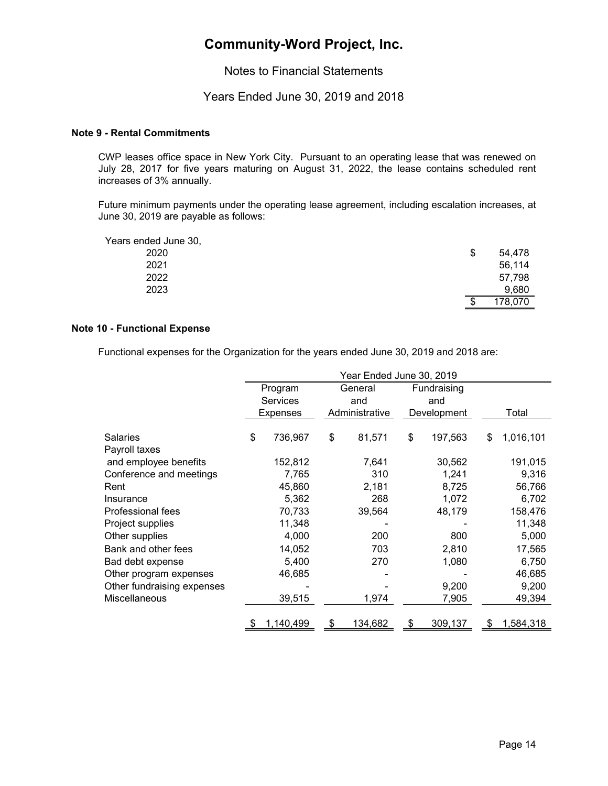Notes to Financial Statements

#### Years Ended June 30, 2019 and 2018

#### **Note 9 - Rental Commitments**

CWP leases office space in New York City. Pursuant to an operating lease that was renewed on July 28, 2017 for five years maturing on August 31, 2022, the lease contains scheduled rent increases of 3% annually.

Future minimum payments under the operating lease agreement, including escalation increases, at June 30, 2019 are payable as follows:

Years ended June 30,

| 2020<br>S | 54,478  |
|-----------|---------|
| 2021      | 56,114  |
| 2022      | 57,798  |
| 2023      | 9,680   |
| \$        | 178,070 |

#### **Note 10 - Functional Expense**

Functional expenses for the Organization for the years ended June 30, 2019 and 2018 are:

|                            | Year Ended June 30, 2019           |           |                       |         |                    |             |    |           |  |  |
|----------------------------|------------------------------------|-----------|-----------------------|---------|--------------------|-------------|----|-----------|--|--|
|                            |                                    | Program   |                       | General |                    | Fundraising |    |           |  |  |
|                            | <b>Services</b><br><b>Expenses</b> |           | and<br>Administrative |         | and<br>Development |             |    |           |  |  |
|                            |                                    |           |                       |         |                    |             |    | Total     |  |  |
|                            |                                    |           |                       |         |                    |             |    |           |  |  |
| <b>Salaries</b>            | \$                                 | 736,967   | \$                    | 81,571  | \$                 | 197,563     | \$ | 1,016,101 |  |  |
| Payroll taxes              |                                    |           |                       |         |                    |             |    |           |  |  |
| and employee benefits      |                                    | 152,812   |                       | 7,641   |                    | 30,562      |    | 191,015   |  |  |
| Conference and meetings    |                                    | 7,765     |                       | 310     |                    | 1,241       |    | 9,316     |  |  |
| Rent                       |                                    | 45,860    |                       | 2,181   |                    | 8,725       |    | 56,766    |  |  |
| Insurance                  |                                    | 5,362     |                       | 268     |                    | 1,072       |    | 6,702     |  |  |
| Professional fees          |                                    | 70,733    |                       | 39,564  |                    | 48,179      |    | 158,476   |  |  |
| Project supplies           |                                    | 11,348    |                       |         |                    |             |    | 11,348    |  |  |
| Other supplies             |                                    | 4,000     |                       | 200     |                    | 800         |    | 5,000     |  |  |
| Bank and other fees        |                                    | 14,052    |                       | 703     |                    | 2,810       |    | 17,565    |  |  |
| Bad debt expense           |                                    | 5,400     |                       | 270     |                    | 1,080       |    | 6,750     |  |  |
| Other program expenses     |                                    | 46,685    |                       |         |                    |             |    | 46,685    |  |  |
| Other fundraising expenses |                                    |           |                       |         |                    | 9,200       |    | 9,200     |  |  |
| Miscellaneous              |                                    | 39,515    |                       | 1,974   |                    | 7,905       |    | 49,394    |  |  |
|                            |                                    |           |                       |         |                    |             |    |           |  |  |
|                            | \$                                 | 1,140,499 | \$                    | 134,682 | \$                 | 309,137     | \$ | 1,584,318 |  |  |